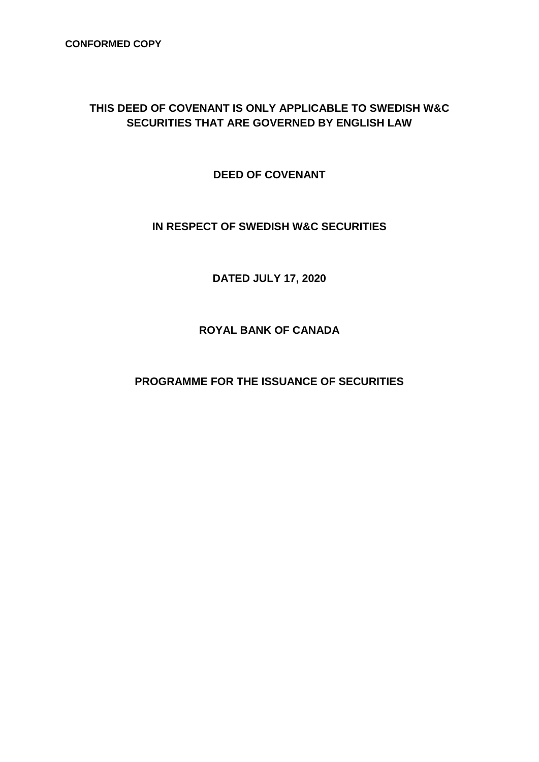## **THIS DEED OF COVENANT IS ONLY APPLICABLE TO SWEDISH W&C SECURITIES THAT ARE GOVERNED BY ENGLISH LAW**

**DEED OF COVENANT**

## **IN RESPECT OF SWEDISH W&C SECURITIES**

**DATED JULY 17, 2020**

**ROYAL BANK OF CANADA**

**PROGRAMME FOR THE ISSUANCE OF SECURITIES**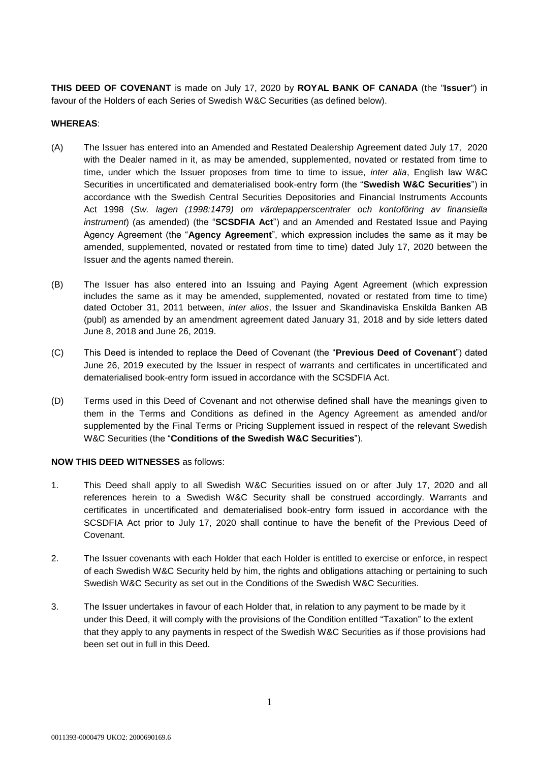**THIS DEED OF COVENANT** is made on July 17, 2020 by **ROYAL BANK OF CANADA** (the "**Issuer**") in favour of the Holders of each Series of Swedish W&C Securities (as defined below).

## **WHEREAS**:

- (A) The Issuer has entered into an Amended and Restated Dealership Agreement dated July 17, 2020 with the Dealer named in it, as may be amended, supplemented, novated or restated from time to time, under which the Issuer proposes from time to time to issue, *inter alia*, English law W&C Securities in uncertificated and dematerialised book-entry form (the "**Swedish W&C Securities**") in accordance with the Swedish Central Securities Depositories and Financial Instruments Accounts Act 1998 (*Sw. lagen (1998:1479) om värdepapperscentraler och kontoföring av finansiella instrument*) (as amended) (the "**SCSDFIA Act**") and an Amended and Restated Issue and Paying Agency Agreement (the "**Agency Agreement**", which expression includes the same as it may be amended, supplemented, novated or restated from time to time) dated July 17, 2020 between the Issuer and the agents named therein.
- (B) The Issuer has also entered into an Issuing and Paying Agent Agreement (which expression includes the same as it may be amended, supplemented, novated or restated from time to time) dated October 31, 2011 between, *inter alios*, the Issuer and Skandinaviska Enskilda Banken AB (publ) as amended by an amendment agreement dated January 31, 2018 and by side letters dated June 8, 2018 and June 26, 2019.
- (C) This Deed is intended to replace the Deed of Covenant (the "**Previous Deed of Covenant**") dated June 26, 2019 executed by the Issuer in respect of warrants and certificates in uncertificated and dematerialised book-entry form issued in accordance with the SCSDFIA Act.
- (D) Terms used in this Deed of Covenant and not otherwise defined shall have the meanings given to them in the Terms and Conditions as defined in the Agency Agreement as amended and/or supplemented by the Final Terms or Pricing Supplement issued in respect of the relevant Swedish W&C Securities (the "**Conditions of the Swedish W&C Securities**").

## **NOW THIS DEED WITNESSES** as follows:

- 1. This Deed shall apply to all Swedish W&C Securities issued on or after July 17, 2020 and all references herein to a Swedish W&C Security shall be construed accordingly. Warrants and certificates in uncertificated and dematerialised book-entry form issued in accordance with the SCSDFIA Act prior to July 17, 2020 shall continue to have the benefit of the Previous Deed of Covenant.
- 2. The Issuer covenants with each Holder that each Holder is entitled to exercise or enforce, in respect of each Swedish W&C Security held by him, the rights and obligations attaching or pertaining to such Swedish W&C Security as set out in the Conditions of the Swedish W&C Securities.
- 3. The Issuer undertakes in favour of each Holder that, in relation to any payment to be made by it under this Deed, it will comply with the provisions of the Condition entitled "Taxation" to the extent that they apply to any payments in respect of the Swedish W&C Securities as if those provisions had been set out in full in this Deed.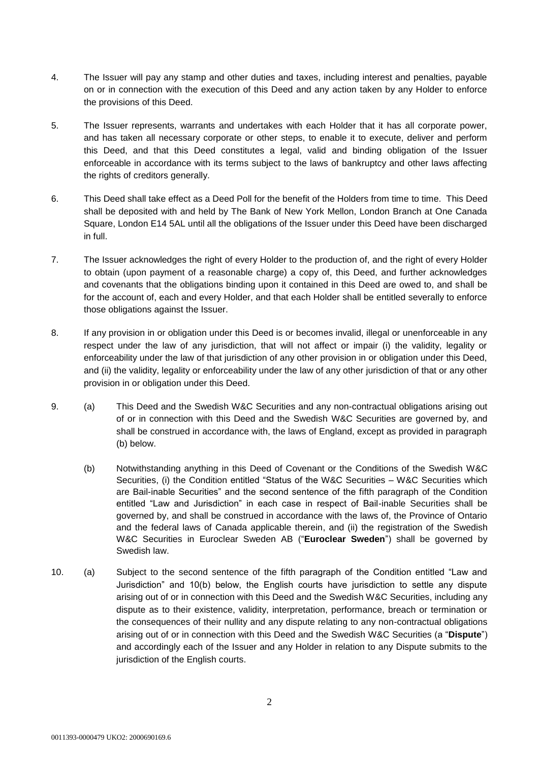- 4. The Issuer will pay any stamp and other duties and taxes, including interest and penalties, payable on or in connection with the execution of this Deed and any action taken by any Holder to enforce the provisions of this Deed.
- 5. The Issuer represents, warrants and undertakes with each Holder that it has all corporate power, and has taken all necessary corporate or other steps, to enable it to execute, deliver and perform this Deed, and that this Deed constitutes a legal, valid and binding obligation of the Issuer enforceable in accordance with its terms subject to the laws of bankruptcy and other laws affecting the rights of creditors generally.
- 6. This Deed shall take effect as a Deed Poll for the benefit of the Holders from time to time. This Deed shall be deposited with and held by The Bank of New York Mellon, London Branch at One Canada Square, London E14 5AL until all the obligations of the Issuer under this Deed have been discharged in full.
- 7. The Issuer acknowledges the right of every Holder to the production of, and the right of every Holder to obtain (upon payment of a reasonable charge) a copy of, this Deed, and further acknowledges and covenants that the obligations binding upon it contained in this Deed are owed to, and shall be for the account of, each and every Holder, and that each Holder shall be entitled severally to enforce those obligations against the Issuer.
- 8. If any provision in or obligation under this Deed is or becomes invalid, illegal or unenforceable in any respect under the law of any jurisdiction, that will not affect or impair (i) the validity, legality or enforceability under the law of that jurisdiction of any other provision in or obligation under this Deed, and (ii) the validity, legality or enforceability under the law of any other jurisdiction of that or any other provision in or obligation under this Deed.
- 9. (a) This Deed and the Swedish W&C Securities and any non-contractual obligations arising out of or in connection with this Deed and the Swedish W&C Securities are governed by, and shall be construed in accordance with, the laws of England, except as provided in paragraph (b) below.
	- (b) Notwithstanding anything in this Deed of Covenant or the Conditions of the Swedish W&C Securities, (i) the Condition entitled "Status of the W&C Securities – W&C Securities which are Bail-inable Securities" and the second sentence of the fifth paragraph of the Condition entitled "Law and Jurisdiction" in each case in respect of Bail-inable Securities shall be governed by, and shall be construed in accordance with the laws of, the Province of Ontario and the federal laws of Canada applicable therein, and (ii) the registration of the Swedish W&C Securities in Euroclear Sweden AB ("**Euroclear Sweden**") shall be governed by Swedish law.
- 10. (a) Subject to the second sentence of the fifth paragraph of the Condition entitled "Law and Jurisdiction" and 10(b) below, the English courts have jurisdiction to settle any dispute arising out of or in connection with this Deed and the Swedish W&C Securities, including any dispute as to their existence, validity, interpretation, performance, breach or termination or the consequences of their nullity and any dispute relating to any non-contractual obligations arising out of or in connection with this Deed and the Swedish W&C Securities (a "**Dispute**") and accordingly each of the Issuer and any Holder in relation to any Dispute submits to the jurisdiction of the English courts.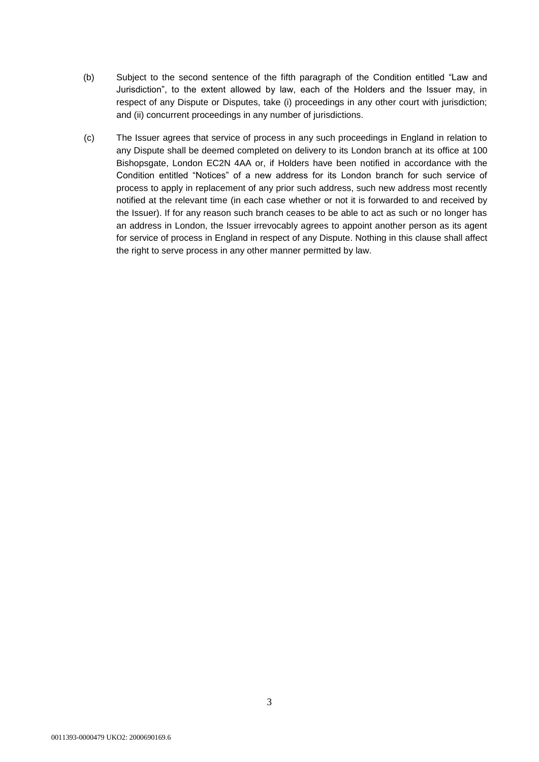- (b) Subject to the second sentence of the fifth paragraph of the Condition entitled "Law and Jurisdiction", to the extent allowed by law, each of the Holders and the Issuer may, in respect of any Dispute or Disputes, take (i) proceedings in any other court with jurisdiction; and (ii) concurrent proceedings in any number of jurisdictions.
- (c) The Issuer agrees that service of process in any such proceedings in England in relation to any Dispute shall be deemed completed on delivery to its London branch at its office at 100 Bishopsgate, London EC2N 4AA or, if Holders have been notified in accordance with the Condition entitled "Notices" of a new address for its London branch for such service of process to apply in replacement of any prior such address, such new address most recently notified at the relevant time (in each case whether or not it is forwarded to and received by the Issuer). If for any reason such branch ceases to be able to act as such or no longer has an address in London, the Issuer irrevocably agrees to appoint another person as its agent for service of process in England in respect of any Dispute. Nothing in this clause shall affect the right to serve process in any other manner permitted by law.